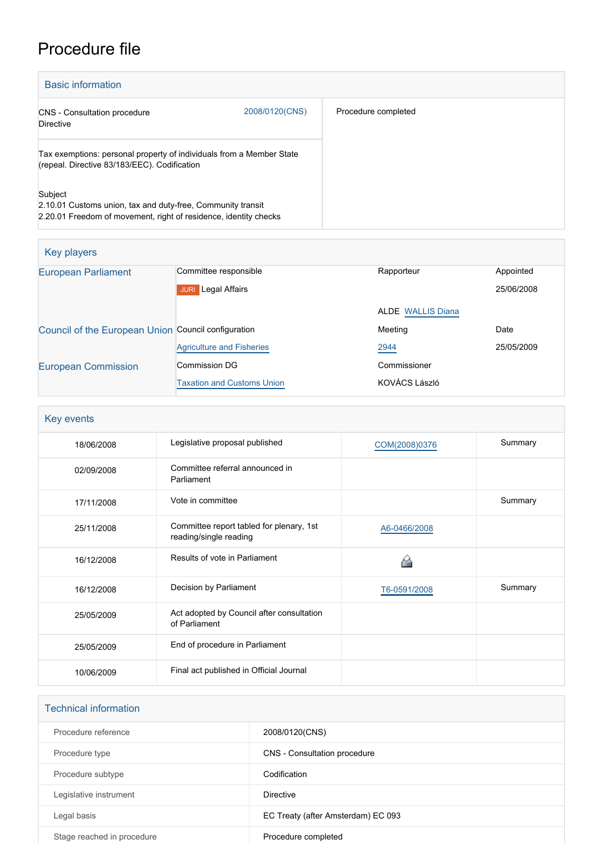## Procedure file

| <b>Basic information</b>                                                                                                                   |                |                     |
|--------------------------------------------------------------------------------------------------------------------------------------------|----------------|---------------------|
| <b>CNS</b> - Consultation procedure<br>Directive                                                                                           | 2008/0120(CNS) | Procedure completed |
| Tax exemptions: personal property of individuals from a Member State<br>(repeal. Directive 83/183/EEC). Codification                       |                |                     |
| Subject<br>2.10.01 Customs union, tax and duty-free, Community transit<br>2.20.01 Freedom of movement, right of residence, identity checks |                |                     |

| Key players                                         |                                   |                          |            |
|-----------------------------------------------------|-----------------------------------|--------------------------|------------|
| <b>European Parliament</b>                          | Committee responsible             | Rapporteur               | Appointed  |
|                                                     | Legal Affairs<br><b>JURI</b>      |                          | 25/06/2008 |
|                                                     |                                   | <b>ALDE WALLIS Diana</b> |            |
| Council of the European Union Council configuration |                                   | Meeting                  | Date       |
|                                                     | <b>Agriculture and Fisheries</b>  | 2944                     | 25/05/2009 |
| <b>European Commission</b>                          | Commission DG                     | Commissioner             |            |
|                                                     | <b>Taxation and Customs Union</b> | KOVÁCS László            |            |

| Key events |                                                                    |               |         |
|------------|--------------------------------------------------------------------|---------------|---------|
| 18/06/2008 | Legislative proposal published                                     | COM(2008)0376 | Summary |
| 02/09/2008 | Committee referral announced in<br>Parliament                      |               |         |
| 17/11/2008 | Vote in committee                                                  |               | Summary |
| 25/11/2008 | Committee report tabled for plenary, 1st<br>reading/single reading | A6-0466/2008  |         |
| 16/12/2008 | Results of vote in Parliament                                      |               |         |
| 16/12/2008 | Decision by Parliament                                             | T6-0591/2008  | Summary |
| 25/05/2009 | Act adopted by Council after consultation<br>of Parliament         |               |         |
| 25/05/2009 | End of procedure in Parliament                                     |               |         |
| 10/06/2009 | Final act published in Official Journal                            |               |         |

| <b>Technical information</b> |                                    |
|------------------------------|------------------------------------|
| Procedure reference          | 2008/0120(CNS)                     |
| Procedure type               | CNS - Consultation procedure       |
| Procedure subtype            | Codification                       |
| Legislative instrument       | Directive                          |
| Legal basis                  | EC Treaty (after Amsterdam) EC 093 |
| Stage reached in procedure   | Procedure completed                |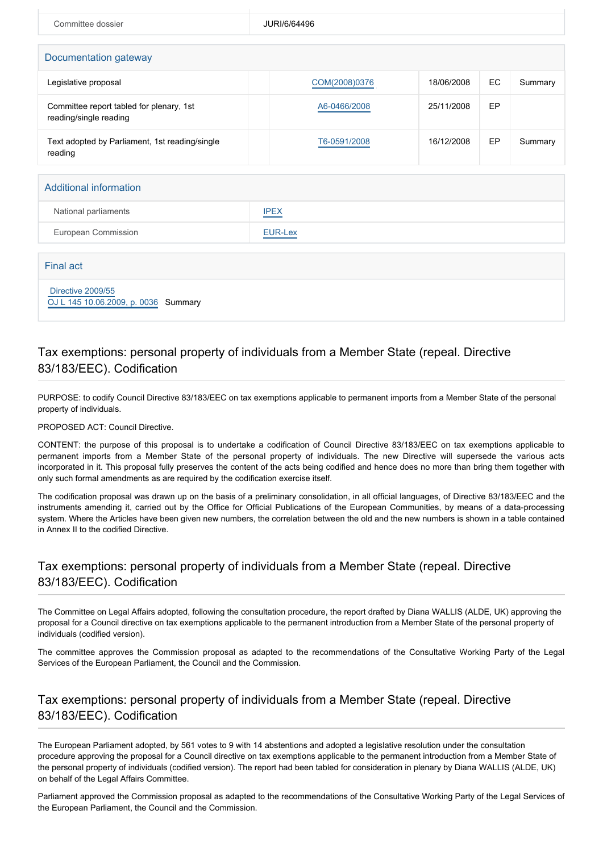| Committee dossier                                                  | JURI/6/64496   |            |    |         |
|--------------------------------------------------------------------|----------------|------------|----|---------|
|                                                                    |                |            |    |         |
| Documentation gateway                                              |                |            |    |         |
| Legislative proposal                                               | COM(2008)0376  | 18/06/2008 | EC | Summary |
| Committee report tabled for plenary, 1st<br>reading/single reading | A6-0466/2008   | 25/11/2008 | EP |         |
| Text adopted by Parliament, 1st reading/single<br>reading          | T6-0591/2008   | 16/12/2008 | EP | Summary |
|                                                                    |                |            |    |         |
| Additional information                                             |                |            |    |         |
| National parliaments                                               | <b>IPEX</b>    |            |    |         |
| European Commission                                                | <b>EUR-Lex</b> |            |    |         |

| Final act                                                 |  |
|-----------------------------------------------------------|--|
| Directive 2009/55<br>OJ L 145 10.06.2009, p. 0036 Summary |  |

## Tax exemptions: personal property of individuals from a Member State (repeal. Directive 83/183/EEC). Codification

PURPOSE: to codify Council Directive 83/183/EEC on tax exemptions applicable to permanent imports from a Member State of the personal property of individuals.

PROPOSED ACT: Council Directive.

CONTENT: the purpose of this proposal is to undertake a codification of Council Directive 83/183/EEC on tax exemptions applicable to permanent imports from a Member State of the personal property of individuals. The new Directive will supersede the various acts incorporated in it. This proposal fully preserves the content of the acts being codified and hence does no more than bring them together with only such formal amendments as are required by the codification exercise itself.

The codification proposal was drawn up on the basis of a preliminary consolidation, in all official languages, of Directive 83/183/EEC and the instruments amending it, carried out by the Office for Official Publications of the European Communities, by means of a data-processing system. Where the Articles have been given new numbers, the correlation between the old and the new numbers is shown in a table contained in Annex II to the codified Directive.

## Tax exemptions: personal property of individuals from a Member State (repeal. Directive 83/183/EEC). Codification

The Committee on Legal Affairs adopted, following the consultation procedure, the report drafted by Diana WALLIS (ALDE, UK) approving the proposal for a Council directive on tax exemptions applicable to the permanent introduction from a Member State of the personal property of individuals (codified version).

The committee approves the Commission proposal as adapted to the recommendations of the Consultative Working Party of the Legal Services of the European Parliament, the Council and the Commission.

## Tax exemptions: personal property of individuals from a Member State (repeal. Directive 83/183/EEC). Codification

The European Parliament adopted, by 561 votes to 9 with 14 abstentions and adopted a legislative resolution under the consultation procedure approving the proposal for a Council directive on tax exemptions applicable to the permanent introduction from a Member State of the personal property of individuals (codified version). The report had been tabled for consideration in plenary by Diana WALLIS (ALDE, UK) on behalf of the Legal Affairs Committee.

Parliament approved the Commission proposal as adapted to the recommendations of the Consultative Working Party of the Legal Services of the European Parliament, the Council and the Commission.